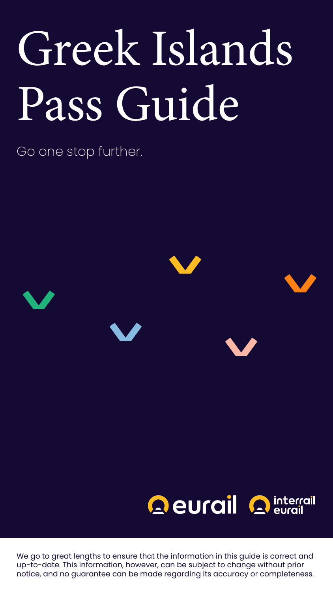Go one stop further.

# **Aeurail A** interrail

# Greek Islands Pass Guide

We go to great lengths to ensure that the information in this guide is correct and up-to-date. This information, however, can be subject to change without prior notice, and no guarantee can be made regarding its accuracy or completeness.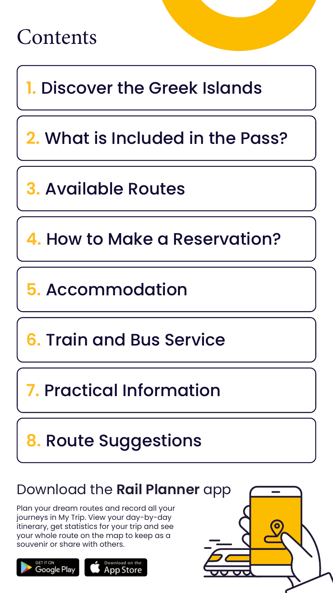

**1.** [Discover the Greek Islands](#page-2-0)

**5.** [Accommodation](#page-11-0)

**2.** [What is Included in the Pass?](#page-3-0)

**3.** [Available Routes](#page-6-0)

**4.** [How to Make a Reservation?](#page-9-0)

**6.** [Train and Bus Service](#page-12-0)

**7.** [Practical Information](#page-13-0)

# **8.** [Route Suggestions](#page-15-0)

# Download the **Rail Planner** app

Plan your dream routes and record all your journeys in My Trip. View your day-by-day itinerary, get statistics for your trip and see your whole route on the map to keep as a souvenir or share with others.





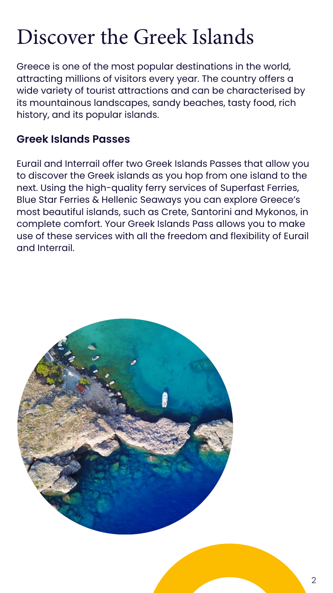

# <span id="page-2-0"></span>Discover the Greek Islands

Greece is one of the most popular destinations in the world, attracting millions of visitors every year. The country offers a wide variety of tourist attractions and can be characterised by its mountainous landscapes, sandy beaches, tasty food, rich history, and its popular islands.

### **Greek Islands Passes**

Eurail and Interrail offer two Greek Islands Passes that allow you to discover the Greek islands as you hop from one island to the next. Using the high-quality ferry services of Superfast Ferries, Blue Star Ferries & Hellenic Seaways you can explore Greece's most beautiful islands, such as Crete, Santorini and Mykonos, in complete comfort. Your Greek Islands Pass allows you to make use of these services with all the freedom and flexibility of Eurail and Interrail.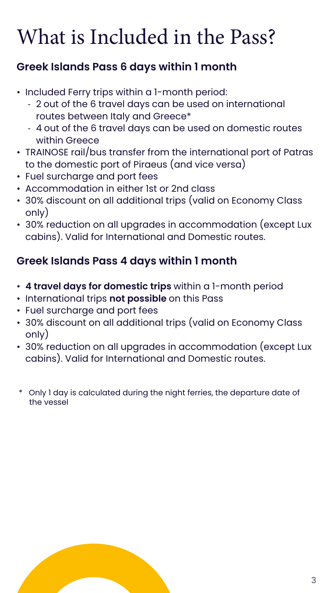# <span id="page-3-0"></span>What is Included in the Pass?

# **Greek Islands Pass 6 days within 1 month**

- Included Ferry trips within a 1-month period:
	- 2 out of the 6 travel days can be used on international routes between Italy and Greece\*
	- 4 out of the 6 travel days can be used on domestic routes within Greece
- TRAINOSE rail/bus transfer from the international port of Patras to the domestic port of Piraeus (and vice versa)
- Fuel surcharge and port fees
- Accommodation in either 1st or 2nd class
- 30% discount on all additional trips (valid on Economy Class only)
- 30% reduction on all upgrades in accommodation (except Lux cabins). Valid for International and Domestic routes.

# **Greek Islands Pass 4 days within 1 month**

- **4 travel days for domestic trips** within a 1-month period
- International trips **not possible** on this Pass
- Fuel surcharge and port fees
- 30% discount on all additional trips (valid on Economy Class only)
- 30% reduction on all upgrades in accommodation (except Lux cabins). Valid for International and Domestic routes.
- \* Only 1 day is calculated during the night ferries, the departure date of the vessel

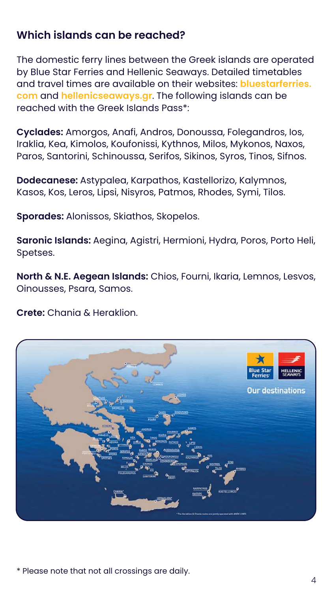# **Which islands can be reached?**

The domestic ferry lines between the Greek islands are operated by Blue Star Ferries and Hellenic Seaways. Detailed timetables and travel times are available on their websites: **[bluestarferries.](https://www.bluestarferries.com/en-gb) [com](https://www.bluestarferries.com/en-gb)** and **[hellenicseaways.gr](https://www.hellenicseaways.gr/en-gb)**. The following islands can be reached with the Greek Islands Pass\*:

**Cyclades:** Amorgos, Anafi, Andros, Donoussa, Folegandros, Ios, Iraklia, Kea, Kimolos, Koufonissi, Kythnos, Milos, Mykonos, Naxos, Paros, Santorini, Schinoussa, Serifos, Sikinos, Syros, Tinos, Sifnos.

**Dodecanese:** Astypalea, Karpathos, Kastellorizo, Kalymnos, Kasos, Kos, Leros, Lipsi, Nisyros, Patmos, Rhodes, Symi, Tilos.

**Sporades:** Alonissos, Skiathos, Skopelos.

**Saronic Islands:** Aegina, Agistri, Hermioni, Hydra, Poros, Porto Heli, Spetses.

**North & N.E. Aegean Islands:** Chios, Fourni, Ikaria, Lemnos, Lesvos, Oinousses, Psara, Samos.

**Crete:** Chania & Heraklion.



#### \* Please note that not all crossings are daily.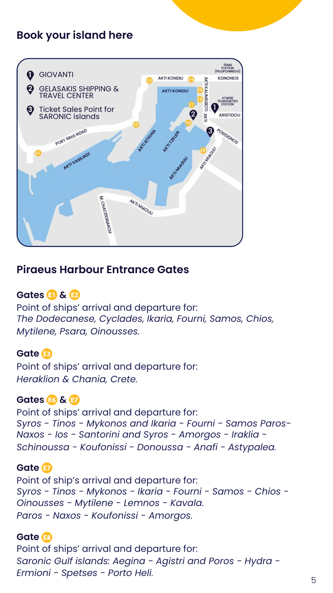### **Book your island here**

#### **Piraeus Harbour Entrance Gates**

**Gates &** Point of ships' arrival and departure for: *The Dodecanese, Cyclades, Ikaria, Fourni, Samos, Chios, Mytilene, Psara, Oinousses.*

**Gate**  Point of ships' arrival and departure for: *Heraklion & Chania, Crete.*

**Gates & & #7** Point of ships' arrival and departure for: *Syros - Tinos - Mykonos and Ikaria - Fourni - Samos Paros-Naxos - Ios - Santorini and Syros - Amorgos - Iraklia - Schinoussa - Koufonissi - Donoussa - Anafi - Astypalea.*

#### **Gate**

Point of ship's arrival and departure for: *Syros - Tinos - Mykonos - Ikaria - Fourni - Samos - Chios - Oinousses - Mytilene - Lemnos - Kavala. Paros - Naxos - Koufonissi - Amorgos.*

#### **Gate**

Point of ships' arrival and departure for: *Saronic Gulf islands: Aegina - Agistri and Poros - Hydra - Ermioni - Spetses - Porto Heli.*

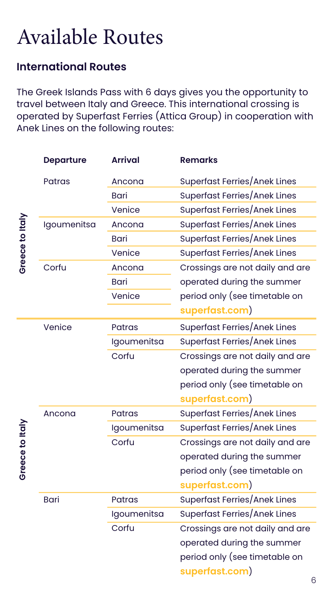# <span id="page-6-0"></span>Available Routes

### **International Routes**

|                    | <b>Departure</b> | <b>Arrival</b> | <b>Remarks</b>                      |
|--------------------|------------------|----------------|-------------------------------------|
|                    | <b>Patras</b>    | Ancona         | <b>Superfast Ferries/Anek Lines</b> |
| to Italy<br>Greece |                  | Bari           | <b>Superfast Ferries/Anek Lines</b> |
|                    |                  | Venice         | <b>Superfast Ferries/Anek Lines</b> |
|                    | Igoumenitsa      | Ancona         | <b>Superfast Ferries/Anek Lines</b> |
|                    |                  | <b>Bari</b>    | <b>Superfast Ferries/Anek Lines</b> |
|                    |                  | Venice         | <b>Superfast Ferries/Anek Lines</b> |
|                    | Corfu            | Ancona         | Crossings are not daily and are     |
|                    |                  | Bari           | operated during the summer          |
|                    |                  | Venice         | period only (see timetable on       |
|                    |                  |                | superfast.com)                      |
|                    | Venice           | <b>Patras</b>  | <b>Superfast Ferries/Anek Lines</b> |
|                    |                  | Igoumenitsa    | Superfast Ferries/Anek Lines        |
|                    |                  | Corfu          | Crossings are not daily and are     |
|                    |                  |                | operated during the summer          |
|                    |                  |                | period only (see timetable on       |
|                    |                  |                | superfast.com)                      |
|                    | Ancona           | <b>Patras</b>  | Superfast Ferries/Anek Lines        |
| Greece to Italy    |                  | Igoumenitsa    | Superfast Ferries/Anek Lines        |
|                    |                  | Corfu          | Crossings are not daily and are     |
|                    |                  |                | operated during the summer          |
|                    |                  |                | period only (see timetable on       |
|                    |                  |                | superfast.com)                      |
|                    | <b>Bari</b>      | <b>Patras</b>  | Superfast Ferries/Anek Lines        |
|                    |                  | Igoumenitsa    | <b>Superfast Ferries/Anek Lines</b> |
|                    |                  | Corfu          | Crossings are not daily and are     |
|                    |                  |                | operated during the summer          |
|                    |                  |                | period only (see timetable on       |
|                    |                  |                | superfast.com)<br>6                 |
|                    |                  |                |                                     |

The Greek Islands Pass with 6 days gives you the opportunity to travel between Italy and Greece. This international crossing is operated by Superfast Ferries (Attica Group) in cooperation with Anek Lines on the following routes: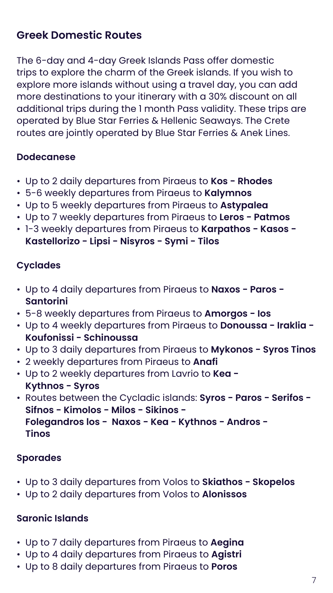# **Greek Domestic Routes**

The 6-day and 4-day Greek Islands Pass offer domestic trips to explore the charm of the Greek islands. If you wish to explore more islands without using a travel day, you can add more destinations to your itinerary with a 30% discount on all additional trips during the 1 month Pass validity. These trips are operated by Blue Star Ferries & Hellenic Seaways. The Crete routes are jointly operated by Blue Star Ferries & Anek Lines.

#### **Dodecanese**

- Up to 2 daily departures from Piraeus to **Kos Rhodes**
- 5-6 weekly departures from Piraeus to **Kalymnos**
- Up to 5 weekly departures from Piraeus to **Astypalea**
- Up to 7 weekly departures from Piraeus to **Leros Patmos**
- 1-3 weekly departures from Piraeus to **Karpathos Kasos Kastellorizo - Lipsi - Nisyros - Symi - Tilos**

### **Cyclades**

- Up to 4 daily departures from Piraeus to **Naxos Paros Santorini**
- 5-8 weekly departures from Piraeus to **Amorgos Ios**
- Up to 4 weekly departures from Piraeus to **Donoussa Iraklia Koufonissi - Schinoussa**
- Up to 3 daily departures from Piraeus to **Mykonos Syros Tinos**
- 2 weekly departures from Piraeus to **Anafi**
- Up to 2 weekly departures from Lavrio to **Kea Kythnos - Syros**
- Routes between the Cycladic islands: **Syros Paros Serifos Sifnos - Kimolos - Milos - Sikinos -**

 **Folegandros los - Naxos - Kea - Kythnos - Andros - Tinos**

#### **Sporades**

- Up to 3 daily departures from Volos to **Skiathos Skopelos**
- Up to 2 daily departures from Volos to **Alonissos**

#### **Saronic Islands**

- Up to 7 daily departures from Piraeus to **Aegina**
- Up to 4 daily departures from Piraeus to **Agistri**
- Up to 8 daily departures from Piraeus to **Poros**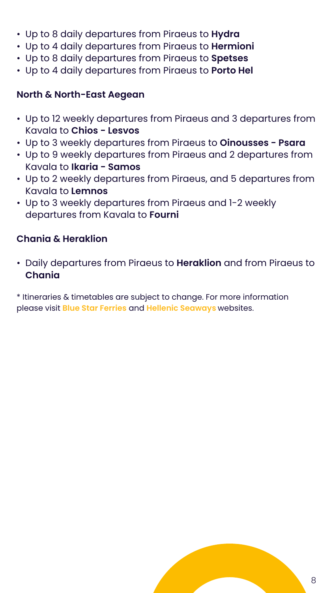

- Up to 8 daily departures from Piraeus to **Hydra**
- Up to 4 daily departures from Piraeus to **Hermioni**
- Up to 8 daily departures from Piraeus to **Spetses**
- Up to 4 daily departures from Piraeus to **Porto Hel**

#### **North & North-East Aegean**

- Up to 12 weekly departures from Piraeus and 3 departures from Kavala to **Chios - Lesvos**
- Up to 3 weekly departures from Piraeus to **Oinousses Psara**
- Up to 9 weekly departures from Piraeus and 2 departures from Kavala to **Ikaria - Samos**
- Up to 2 weekly departures from Piraeus, and 5 departures from Kavala to **Lemnos**
- Up to 3 weekly departures from Piraeus and 1-2 weekly departures from Kavala to **Fourni**

#### **Chania & Heraklion**

• Daily departures from Piraeus to **Heraklion** and from Piraeus to **Chania**

\* Itineraries & timetables are subject to change. For more information please visit **[Blue Star Ferries](https://www.bluestarferries.com/en-gb)** and **[Hellenic Seaways](https://hellenicseaways.gr/en/routes)** websites.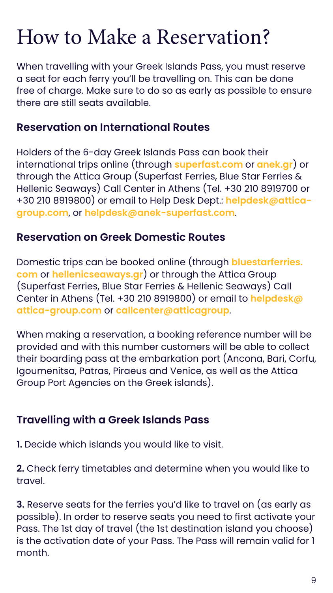# <span id="page-9-0"></span>How to Make a Reservation?

When travelling with your Greek Islands Pass, you must reserve a seat for each ferry you'll be travelling on. This can be done free of charge. Make sure to do so as early as possible to ensure there are still seats available.

### **Reservation on International Routes**

Holders of the 6-day Greek Islands Pass can book their international trips online (through **[superfast.com](https://www.superfast.com/en-gb)** or **[anek.gr](https://www.anek.gr/en/)**) or through the Attica Group (Superfast Ferries, Blue Star Ferries & Hellenic Seaways) Call Center in Athens (Tel. +30 210 8919700 or +30 210 8919800) or email to Help Desk Dept.: **[helpdesk@attica](mailto:helpdesk%40attica-group.com?subject=)[group.com](mailto:helpdesk%40attica-group.com?subject=)**, or **[helpdesk@anek-superfast.com](mailto:helpdesk%40anek-superfast.com?subject=)**.

### **Reservation on Greek Domestic Routes**

Domestic trips can be booked online (through **[bluestarferries.](https://www.bluestarferries.com/en-gb) [com](https://www.bluestarferries.com/en-gb)** or **[hellenicseaways.gr](https://www.hellenicseaways.gr/en-gb)**) or through the Attica Group (Superfast Ferries, Blue Star Ferries & Hellenic Seaways) Call Center in Athens (Tel. +30 210 8919800) or email to **[helpdesk@](mailto:helpdesk%40attica-group.com?subject=) [attica-group.com](mailto:helpdesk%40attica-group.com?subject=)** or **[callcenter@atticagroup](mailto:callcenter%40atticagroup?subject=)**.

When making a reservation, a booking reference number will be provided and with this number customers will be able to collect their boarding pass at the embarkation port (Ancona, Bari, Corfu, Igoumenitsa, Patras, Piraeus and Venice, as well as the Attica Group Port Agencies on the Greek islands).

#### **Travelling with a Greek Islands Pass**

**1.** Decide which islands you would like to visit.

**2.** Check ferry timetables and determine when you would like to travel.

**3.** Reserve seats for the ferries you'd like to travel on (as early as possible). In order to reserve seats you need to first activate your Pass. The 1st day of travel (the 1st destination island you choose) is the activation date of your Pass. The Pass will remain valid for 1 month.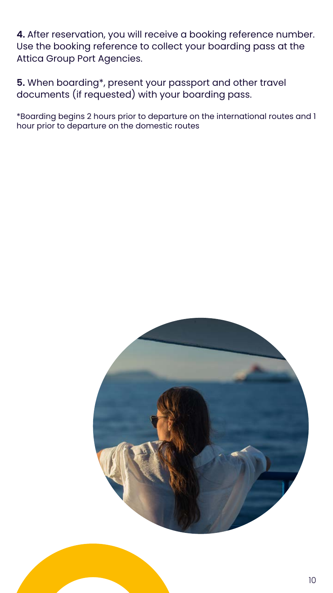

**4.** After reservation, you will receive a booking reference number. Use the booking reference to collect your boarding pass at the Attica Group Port Agencies.

**5.** When boarding\*, present your passport and other travel documents (if requested) with your boarding pass.

\*Boarding begins 2 hours prior to departure on the international routes and 1 hour prior to departure on the domestic routes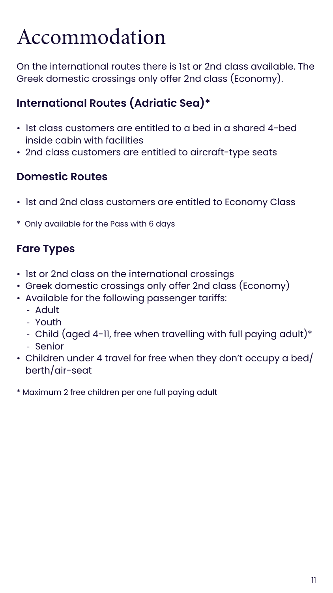11

# <span id="page-11-0"></span>Accommodation

On the international routes there is 1st or 2nd class available. The Greek domestic crossings only offer 2nd class (Economy).

# **International Routes (Adriatic Sea)\***

- 1st class customers are entitled to a bed in a shared 4-bed inside cabin with facilities
- 2nd class customers are entitled to aircraft-type seats

### **Domestic Routes**

- 1st and 2nd class customers are entitled to Economy Class
- \* Only available for the Pass with 6 days

# **Fare Types**

- 1st or 2nd class on the international crossings
- Greek domestic crossings only offer 2nd class (Economy)
- Available for the following passenger tariffs:
	- Adult
	- Youth
	- Child (aged 4-11, free when travelling with full paying adult)\*
	- Senior
- Children under 4 travel for free when they don't occupy a bed/ berth/air-seat
- \* Maximum 2 free children per one full paying adult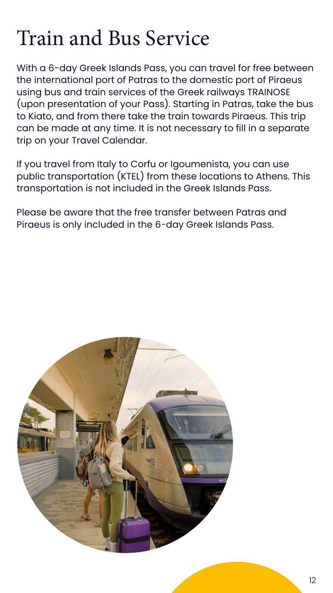

# <span id="page-12-0"></span>Train and Bus Service

With a 6-day Greek Islands Pass, you can travel for free between the international port of Patras to the domestic port of Piraeus using bus and train services of the Greek railways TRAINOSE (upon presentation of your Pass). Starting in Patras, take the bus to Kiato, and from there take the train towards Piraeus. This trip can be made at any time. It is not necessary to fill in a separate trip on your Travel Calendar.

If you travel from Italy to Corfu or Igoumenista, you can use public transportation (KTEL) from these locations to Athens. This transportation is not included in the Greek Islands Pass.

Please be aware that the free transfer between Patras and Piraeus is only included in the 6-day Greek Islands Pass.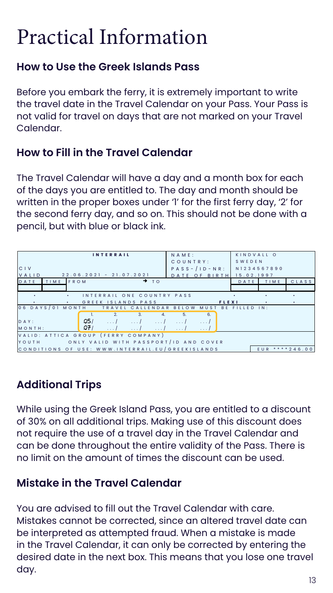# <span id="page-13-0"></span>Practical Information

### **How to Use the Greek Islands Pass**

Before you embark the ferry, it is extremely important to write the travel date in the Travel Calendar on your Pass. Your Pass is not valid for travel on days that are not marked on your Travel Calendar.

### **How to Fill in the Travel Calendar**

The Travel Calendar will have a day and a month box for each of the days you are entitled to. The day and month should be written in the proper boxes under '1' for the first ferry day, '2' for the second ferry day, and so on. This should not be done with a pencil, but with blue or black ink.

# **Additional Trips**

While using the Greek Island Pass, you are entitled to a discount

of 30% on all additional trips. Making use of this discount does not require the use of a travel day in the Travel Calendar and can be done throughout the entire validity of the Pass. There is no limit on the amount of times the discount can be used.

# **Mistake in the Travel Calendar**

You are advised to fill out the Travel Calendar with care. Mistakes cannot be corrected, since an altered travel date can be interpreted as attempted fraud. When a mistake is made in the Travel Calendar, it can only be corrected by entering the desired date in the next box. This means that you lose one travel day.

| <b>INTERRAIL</b>                                                                      | NAME:                    | KINDVALL O             |  |  |  |  |  |
|---------------------------------------------------------------------------------------|--------------------------|------------------------|--|--|--|--|--|
|                                                                                       | COUNTRY:                 | SWEDEN                 |  |  |  |  |  |
| CIV                                                                                   | PASS-/ID-NR: N1234567890 |                        |  |  |  |  |  |
| 22.06.2021 - 21.07.2021<br>VALID                                                      | DATE OF BIRTH            | 15.02.1997             |  |  |  |  |  |
| $\rightarrow$ TO<br>DATE<br>TIME FROM                                                 |                          | CLASS<br>TIME<br>DATE  |  |  |  |  |  |
|                                                                                       |                          |                        |  |  |  |  |  |
| INTERRAIL ONE COUNTRY PASS                                                            |                          |                        |  |  |  |  |  |
| GREEK ISLANDS PASS<br>$\bullet$ .<br><br><br><br><br><br><br><br><br><br><br><br><br> | <b>FLEXI</b>             | $\bullet$<br>$\bullet$ |  |  |  |  |  |
| 06 DAYS/01 MONTH TRAVEL CALLENDAR BELOW                                               | MUST                     | BE FILLED IN:          |  |  |  |  |  |
| $\overline{2}$ .<br>3.<br>4.                                                          | 6.<br>5 <sub>1</sub>     |                        |  |  |  |  |  |
| .Q5/<br>$\ldots$ $\ldots$ $\ldots$ $\ldots$<br>DAY:<br>$\ldots$ /                     | $\ldots$ /<br>$\cdots$ / |                        |  |  |  |  |  |
| $Q_{t}^{2}/2$<br>MONTH:<br>$\ldots$ /<br>$\ldots$ /<br>$\ldots$ /                     | $\ldots$ /<br>$\cdots$   |                        |  |  |  |  |  |
| VALID: ATTICA GROUP (FERRY COMPANY)                                                   |                          |                        |  |  |  |  |  |
| YOUTH ONLY VALID WITH PASSPORT/ID AND COVER                                           |                          |                        |  |  |  |  |  |
| CONDITIONS OF USE: WWW.INTERRAIL.EU/GREEKISLANDS<br>EUR ***** 246.00                  |                          |                        |  |  |  |  |  |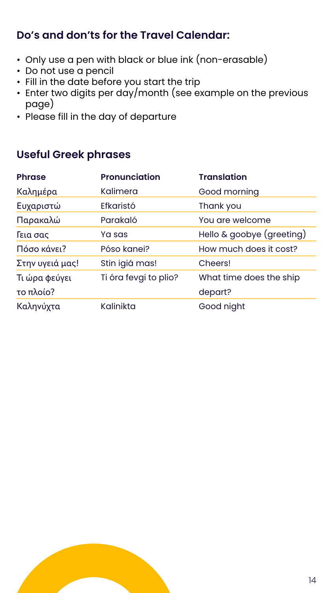### **Do's and don'ts for the Travel Calendar:**

- Only use a pen with black or blue ink (non-erasable)
- Do not use a pencil
- Fill in the date before you start the trip
- Enter two digits per day/month (see example on the previous page)
- Please fill in the day of departure

### **Useful Greek phrases**



| <b>Phrase</b>   | <b>Pronunciation</b>  | <b>Translation</b>        |
|-----------------|-----------------------|---------------------------|
| Καλημέρα        | Kalimera              | Good morning              |
| Ευχαριστώ       | <b>Efkaristó</b>      | Thank you                 |
| Παρακαλώ        | Parakaló              | You are welcome           |
| Γεια σας        | Ya sas                | Hello & goobye (greeting) |
| Πόσο κάνει?     | Póso kanei?           | How much does it cost?    |
| Στην υγειά μας! | Stin igiá mas!        | Cheers!                   |
| Τι ώρα φεύγει   | Ti óra fevgi to plio? | What time does the ship   |
| το πλοίο?       |                       | depart?                   |
| Καληνύχτα       | Kalinikta             | Good night                |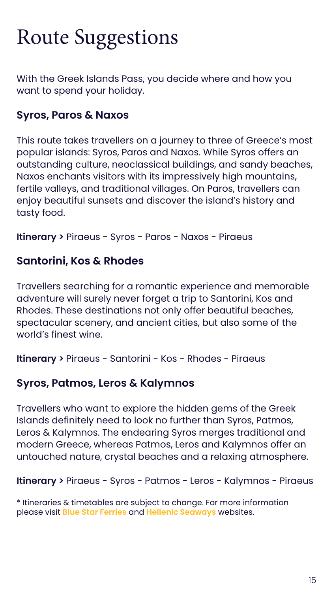# <span id="page-15-0"></span>Route Suggestions

With the Greek Islands Pass, you decide where and how you want to spend your holiday.

### **Syros, Paros & Naxos**

This route takes travellers on a journey to three of Greece's most popular islands: Syros, Paros and Naxos. While Syros offers an outstanding culture, neoclassical buildings, and sandy beaches, Naxos enchants visitors with its impressively high mountains, fertile valleys, and traditional villages. On Paros, travellers can enjoy beautiful sunsets and discover the island's history and tasty food.

**Itinerary >** Piraeus - Syros - Paros - Naxos - Piraeus

### **Santorini, Kos & Rhodes**

Travellers searching for a romantic experience and memorable adventure will surely never forget a trip to Santorini, Kos and Rhodes. These destinations not only offer beautiful beaches, spectacular scenery, and ancient cities, but also some of the world's finest wine.

**Itinerary >** Piraeus - Santorini - Kos - Rhodes - Piraeus

### **Syros, Patmos, Leros & Kalymnos**

Travellers who want to explore the hidden gems of the Greek Islands definitely need to look no further than Syros, Patmos, Leros & Kalymnos. The endearing Syros merges traditional and modern Greece, whereas Patmos, Leros and Kalymnos offer an untouched nature, crystal beaches and a relaxing atmosphere.

**Itinerary >** Piraeus - Syros - Patmos - Leros - Kalymnos - Piraeus

\* Itineraries & timetables are subject to change. For more information please visit **[Blue Star Ferries](https://www.bluestarferries.com/en-gb)** and **[Hellenic Seaways](https://hellenicseaways.gr/en/routes)** websites.